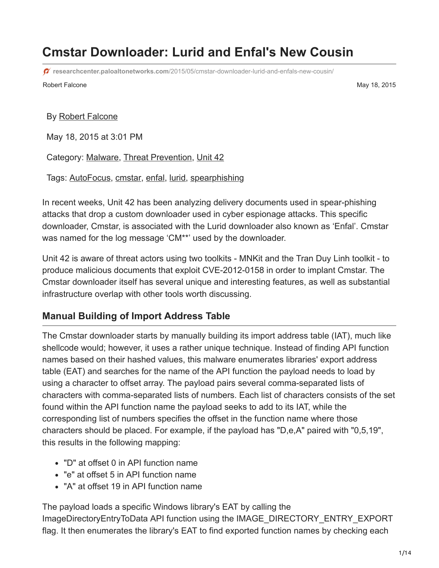# **Cmstar Downloader: Lurid and Enfal's New Cousin**

**researchcenter.paloaltonetworks.com**[/2015/05/cmstar-downloader-lurid-and-enfals-new-cousin/](https://researchcenter.paloaltonetworks.com/2015/05/cmstar-downloader-lurid-and-enfals-new-cousin/)

Robert Falcone **May 18, 2015** 

#### By [Robert Falcone](https://unit42.paloaltonetworks.com/author/robertfalcone/)

May 18, 2015 at 3:01 PM

Category: [Malware,](https://unit42.paloaltonetworks.com/category/malware-2/) [Threat Prevention,](https://unit42.paloaltonetworks.com/category/threat-prevention-2/) [Unit 42](https://unit42.paloaltonetworks.com/category/unit42/)

Tags: [AutoFocus](https://unit42.paloaltonetworks.com/tag/autofocus/), [cmstar](https://unit42.paloaltonetworks.com/tag/cmstar/), [enfal,](https://unit42.paloaltonetworks.com/tag/enfal/) [lurid](https://unit42.paloaltonetworks.com/tag/lurid/), [spearphishing](https://unit42.paloaltonetworks.com/tag/spearphishing/)

In recent weeks, Unit 42 has been analyzing delivery documents used in spear-phishing attacks that drop a custom downloader used in cyber espionage attacks. This specific downloader, Cmstar, is associated with the Lurid downloader also known as 'Enfal'. Cmstar was named for the log message 'CM\*\*' used by the downloader.

Unit 42 is aware of threat actors using two toolkits - MNKit and the Tran Duy Linh toolkit - to produce malicious documents that exploit CVE-2012-0158 in order to implant Cmstar. The Cmstar downloader itself has several unique and interesting features, as well as substantial infrastructure overlap with other tools worth discussing.

### **Manual Building of Import Address Table**

The Cmstar downloader starts by manually building its import address table (IAT), much like shellcode would; however, it uses a rather unique technique. Instead of finding API function names based on their hashed values, this malware enumerates libraries' export address table (EAT) and searches for the name of the API function the payload needs to load by using a character to offset array. The payload pairs several comma-separated lists of characters with comma-separated lists of numbers. Each list of characters consists of the set found within the API function name the payload seeks to add to its IAT, while the corresponding list of numbers specifies the offset in the function name where those characters should be placed. For example, if the payload has "D,e,A" paired with "0,5,19", this results in the following mapping:

- "D" at offset 0 in API function name
- "e" at offset 5 in API function name
- "A" at offset 19 in API function name

The payload loads a specific Windows library's EAT by calling the ImageDirectoryEntryToData API function using the IMAGE\_DIRECTORY\_ENTRY\_EXPORT flag. It then enumerates the library's EAT to find exported function names by checking each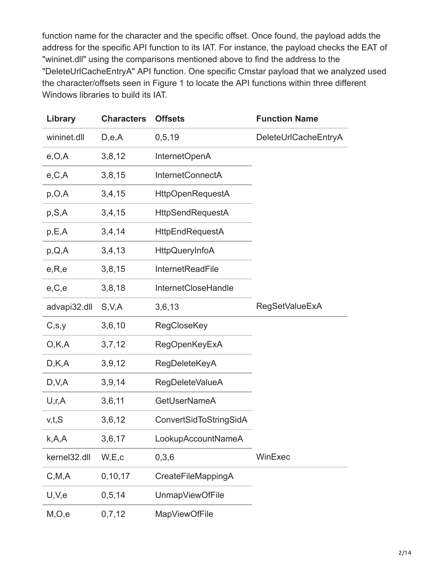function name for the character and the specific offset. Once found, the payload adds the address for the specific API function to its IAT. For instance, the payload checks the EAT of "wininet.dll" using the comparisons mentioned above to find the address to the "DeleteUrlCacheEntryA" API function. One specific Cmstar payload that we analyzed used the character/offsets seen in Figure 1 to locate the API functions within three different Windows libraries to build its IAT.

| Library      | <b>Characters</b> | <b>Offsets</b>          | <b>Function Name</b>  |
|--------------|-------------------|-------------------------|-----------------------|
| wininet.dll  | D,e,A             | 0, 5, 19                | DeleteUrlCacheEntryA  |
| e, O, A      | 3,8,12            | InternetOpenA           |                       |
| e, C, A      | 3,8,15            | <b>InternetConnectA</b> |                       |
| p, O, A      | 3,4,15            | <b>HttpOpenRequestA</b> |                       |
| p, S, A      | 3,4,15            | <b>HttpSendRequestA</b> |                       |
| p, E, A      | 3,4,14            | <b>HttpEndRequestA</b>  |                       |
| p,Q,A        | 3,4,13            | <b>HttpQueryInfoA</b>   |                       |
| e, R, e      | 3,8,15            | InternetReadFile        |                       |
| e, C, e      | 3,8,18            | InternetCloseHandle     |                       |
| advapi32.dll | S, V, A           | 3,6,13                  | <b>RegSetValueExA</b> |
| C, S, Y      | 3,6,10            | <b>RegCloseKey</b>      |                       |
| O, K, A      | 3,7,12            | <b>RegOpenKeyExA</b>    |                       |
| D,K,A        | 3,9,12            | RegDeleteKeyA           |                       |
| D, V, A      | 3,9,14            | <b>RegDeleteValueA</b>  |                       |
| U, r, A      | 3,6,11            | <b>GetUserNameA</b>     |                       |
| v,t,S        | 3,6,12            | ConvertSidToStringSidA  |                       |
| k, A, A      | 3,6,17            | LookupAccountNameA      |                       |
| kernel32.dll | W,E,c             | 0,3,6                   | WinExec               |
| C, M, A      | 0, 10, 17         | CreateFileMappingA      |                       |
| U, V, e      | 0, 5, 14          | UnmapViewOfFile         |                       |
| M, O, e      | 0,7,12            | <b>MapViewOfFile</b>    |                       |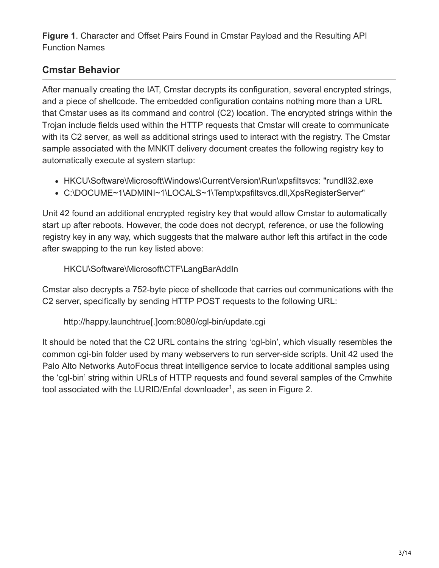**Figure 1**. Character and Offset Pairs Found in Cmstar Payload and the Resulting API Function Names

## **Cmstar Behavior**

After manually creating the IAT, Cmstar decrypts its configuration, several encrypted strings, and a piece of shellcode. The embedded configuration contains nothing more than a URL that Cmstar uses as its command and control (C2) location. The encrypted strings within the Trojan include fields used within the HTTP requests that Cmstar will create to communicate with its C2 server, as well as additional strings used to interact with the registry. The Cmstar sample associated with the MNKIT delivery document creates the following registry key to automatically execute at system startup:

- HKCU\Software\Microsoft\Windows\CurrentVersion\Run\xpsfiltsvcs: "rundll32.exe
- C:\DOCUME~1\ADMINI~1\LOCALS~1\Temp\xpsfiltsvcs.dll,XpsRegisterServer"

Unit 42 found an additional encrypted registry key that would allow Cmstar to automatically start up after reboots. However, the code does not decrypt, reference, or use the following registry key in any way, which suggests that the malware author left this artifact in the code after swapping to the run key listed above:

### HKCU\Software\Microsoft\CTF\LangBarAddIn

Cmstar also decrypts a 752-byte piece of shellcode that carries out communications with the C2 server, specifically by sending HTTP POST requests to the following URL:

```
http://happy.launchtrue[.]com:8080/cgl-bin/update.cgi
```
It should be noted that the C2 URL contains the string 'cgl-bin', which visually resembles the common cgi-bin folder used by many webservers to run server-side scripts. Unit 42 used the Palo Alto Networks AutoFocus threat intelligence service to locate additional samples using the 'cgl-bin' string within URLs of HTTP requests and found several samples of the Cmwhite tool associated with the LURID/Enfal downloader<sup>1</sup>, as seen in Figure 2.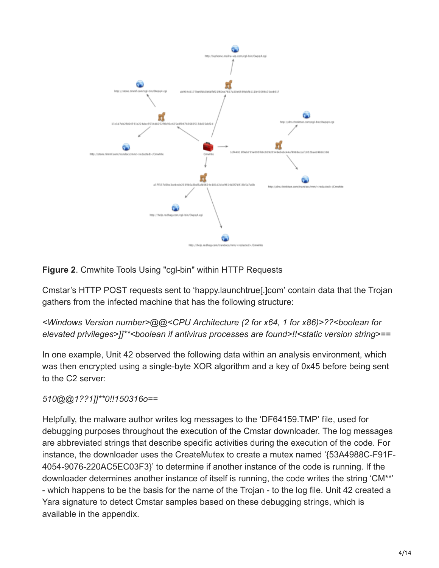

### **Figure 2**. Cmwhite Tools Using "cgl-bin" within HTTP Requests

Cmstar's HTTP POST requests sent to 'happy.launchtrue[.]com' contain data that the Trojan gathers from the infected machine that has the following structure:

### *<Windows Version number>@@<CPU Architecture (2 for x64, 1 for x86)>??<boolean for elevated privileges>]]\*\*<boolean if antivirus processes are found>!!<static version string>==*

In one example, Unit 42 observed the following data within an analysis environment, which was then encrypted using a single-byte XOR algorithm and a key of 0x45 before being sent to the C2 server:

### *510@@1??1]]\*\*0!!150316o==*

Helpfully, the malware author writes log messages to the 'DF64159.TMP' file, used for debugging purposes throughout the execution of the Cmstar downloader. The log messages are abbreviated strings that describe specific activities during the execution of the code. For instance, the downloader uses the CreateMutex to create a mutex named '{53A4988C-F91F-4054-9076-220AC5EC03F3}' to determine if another instance of the code is running. If the downloader determines another instance of itself is running, the code writes the string 'CM\*\*' - which happens to be the basis for the name of the Trojan - to the log file. Unit 42 created a Yara signature to detect Cmstar samples based on these debugging strings, which is available in the appendix.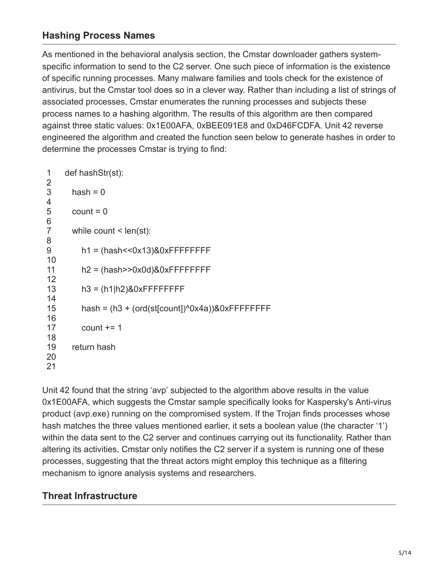### **Hashing Process Names**

As mentioned in the behavioral analysis section, the Cmstar downloader gathers systemspecific information to send to the C2 server. One such piece of information is the existence of specific running processes. Many malware families and tools check for the existence of antivirus, but the Cmstar tool does so in a clever way. Rather than including a list of strings of associated processes, Cmstar enumerates the running processes and subjects these process names to a hashing algorithm. The results of this algorithm are then compared against three static values: 0x1E00AFA, 0xBEE091E8 and 0xD46FCDFA. Unit 42 reverse engineered the algorithm and created the function seen below to generate hashes in order to determine the processes Cmstar is trying to find:

| 1                        | def hashStr(st):                                  |
|--------------------------|---------------------------------------------------|
| 2<br>$\mathfrak{S}$<br>4 | $hash = 0$                                        |
| 5<br>6                   | $count = 0$                                       |
| $\overline{7}$<br>8      | while count $\leq$ len(st):                       |
| 9<br>10                  | $h1 = (hash<<0x13)80xFFFFFFF$                     |
| 11                       | $h2 = (hash > 0x0d) & 0xFFFFFFF$                  |
| 12<br>13                 | $h3 = (h1 h2)80xFFFFFFF$                          |
| 14<br>15                 | hash = $(h3 + (ord(st[count])^00x4a))&0xFFFFFFFF$ |
| 16<br>17                 | count $+= 1$                                      |
| 18<br>19<br>20<br>21     | return hash                                       |

Unit 42 found that the string 'avp' subjected to the algorithm above results in the value 0x1E00AFA, which suggests the Cmstar sample specifically looks for Kaspersky's Anti-virus product (avp.exe) running on the compromised system. If the Trojan finds processes whose hash matches the three values mentioned earlier, it sets a boolean value (the character '1') within the data sent to the C2 server and continues carrying out its functionality. Rather than altering its activities, Cmstar only notifies the C2 server if a system is running one of these processes, suggesting that the threat actors might employ this technique as a filtering mechanism to ignore analysis systems and researchers.

### **Threat Infrastructure**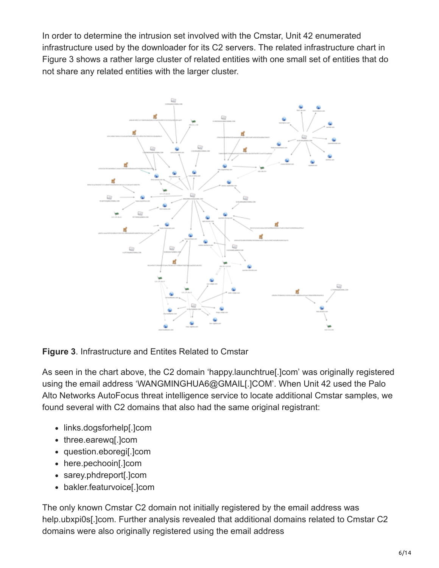In order to determine the intrusion set involved with the Cmstar, Unit 42 enumerated infrastructure used by the downloader for its C2 servers. The related infrastructure chart in Figure 3 shows a rather large cluster of related entities with one small set of entities that do not share any related entities with the larger cluster.



**Figure 3**. Infrastructure and Entites Related to Cmstar

As seen in the chart above, the C2 domain 'happy.launchtrue[.]com' was originally registered using the email address 'WANGMINGHUA6@GMAIL[.]COM'. When Unit 42 used the Palo Alto Networks AutoFocus threat intelligence service to locate additional Cmstar samples, we found several with C2 domains that also had the same original registrant:

- links.dogsforhelp[.]com
- three.earewq[.]com
- question.eboregi[.]com
- here.pechooin[.]com
- sarey.phdreport[.]com
- bakler.featurvoice[.]com

The only known Cmstar C2 domain not initially registered by the email address was help.ubxpi0s[.]com. Further analysis revealed that additional domains related to Cmstar C2 domains were also originally registered using the email address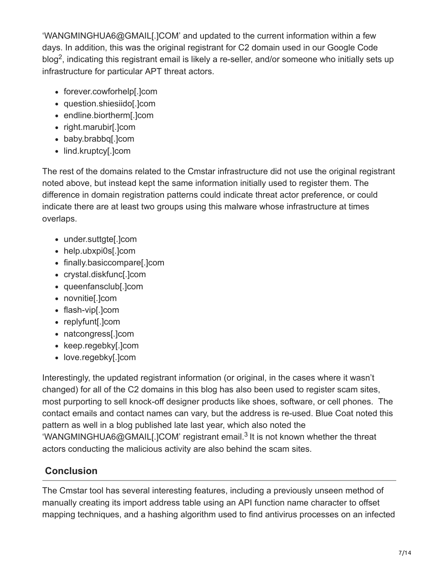'WANGMINGHUA6@GMAIL[.]COM' and updated to the current information within a few days. In addition, this was the original registrant for C2 domain used in our Google Code blog<sup>2</sup>, indicating this registrant email is likely a re-seller, and/or someone who initially sets up infrastructure for particular APT threat actors.

- forever.cowforhelp[.]com
- question.shiesiido[.]com
- endline.biortherm[.]com
- right.marubir[.]com
- baby.brabbq[.]com
- lind.kruptcy[.]com

The rest of the domains related to the Cmstar infrastructure did not use the original registrant noted above, but instead kept the same information initially used to register them. The difference in domain registration patterns could indicate threat actor preference, or could indicate there are at least two groups using this malware whose infrastructure at times overlaps.

- under.suttgte[.]com
- help.ubxpi0s[.]com
- finally.basiccompare[.]com
- crystal.diskfunc[.]com
- queenfansclub[.]com
- novnitie[.]com
- flash-vip[.]com
- replyfunt[.]com
- natcongress[.]com
- keep.regebky[.]com
- love.regebky[.]com

Interestingly, the updated registrant information (or original, in the cases where it wasn't changed) for all of the C2 domains in this blog has also been used to register scam sites, most purporting to sell knock-off designer products like shoes, software, or cell phones. The contact emails and contact names can vary, but the address is re-used. Blue Coat noted this pattern as well in a blog published late last year, which also noted the 'WANGMINGHUA6@GMAIL[.]COM' registrant email.<sup>3</sup> It is not known whether the threat actors conducting the malicious activity are also behind the scam sites.

# **Conclusion**

The Cmstar tool has several interesting features, including a previously unseen method of manually creating its import address table using an API function name character to offset mapping techniques, and a hashing algorithm used to find antivirus processes on an infected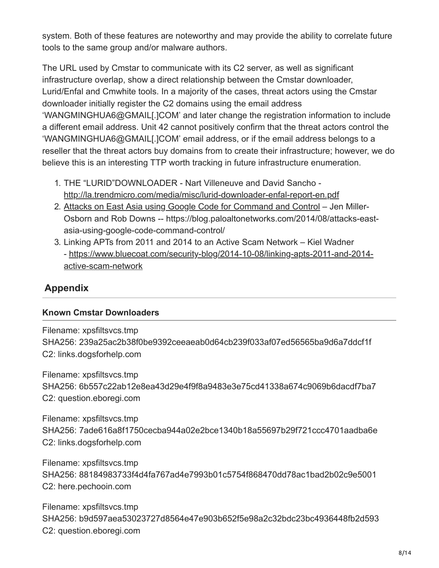system. Both of these features are noteworthy and may provide the ability to correlate future tools to the same group and/or malware authors.

The URL used by Cmstar to communicate with its C2 server, as well as significant infrastructure overlap, show a direct relationship between the Cmstar downloader, Lurid/Enfal and Cmwhite tools. In a majority of the cases, threat actors using the Cmstar downloader initially register the C2 domains using the email address 'WANGMINGHUA6@GMAIL[.]COM' and later change the registration information to include a different email address. Unit 42 cannot positively confirm that the threat actors control the 'WANGMINGHUA6@GMAIL[.]COM' email address, or if the email address belongs to a reseller that the threat actors buy domains from to create their infrastructure; however, we do believe this is an interesting TTP worth tracking in future infrastructure enumeration.

- 1. THE "LURID"DOWNLOADER Nart Villeneuve and David Sancho <http://la.trendmicro.com/media/misc/lurid-downloader-enfal-report-en.pdf>
- 2. [Attacks on East Asia using Google Code for Command and Control](https://blog.paloaltonetworks.com/2014/08/attacks-east-asia-using-google-code-command-control/) Jen Miller-Osborn and Rob Downs -- https://blog.paloaltonetworks.com/2014/08/attacks-eastasia-using-google-code-command-control/
- 3. Linking APTs from 2011 and 2014 to an Active Scam Network Kiel Wadner [- https://www.bluecoat.com/security-blog/2014-10-08/linking-apts-2011-and-2014](https://www.bluecoat.com/security-blog/2014-10-08/linking-apts-2011-and-2014-active-scam-network) active-scam-network

### **Appendix**

### **Known Cmstar Downloaders**

Filename: xpsfiltsvcs.tmp SHA256: 239a25ac2b38f0be9392ceeaeab0d64cb239f033af07ed56565ba9d6a7ddcf1f C2: links.dogsforhelp.com

Filename: xpsfiltsvcs.tmp SHA256: 6b557c22ab12e8ea43d29e4f9f8a9483e3e75cd41338a674c9069b6dacdf7ba7 C2: question.eboregi.com

Filename: xpsfiltsvcs.tmp SHA256: 7ade616a8f1750cecba944a02e2bce1340b18a55697b29f721ccc4701aadba6e C2: links.dogsforhelp.com

Filename: xpsfiltsvcs.tmp SHA256: 88184983733f4d4fa767ad4e7993b01c5754f868470dd78ac1bad2b02c9e5001 C2: here.pechooin.com

Filename: xpsfiltsvcs.tmp SHA256: b9d597aea53023727d8564e47e903b652f5e98a2c32bdc23bc4936448fb2d593 C2: question.eboregi.com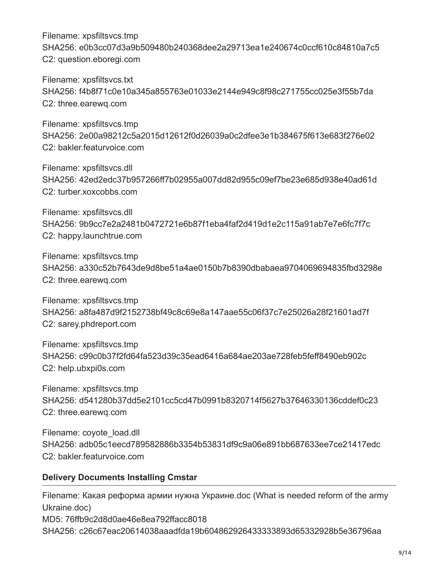Filename: xpsfiltsvcs.tmp SHA256: e0b3cc07d3a9b509480b240368dee2a29713ea1e240674c0ccf610c84810a7c5 C2: question.eboregi.com

Filename: xpsfiltsvcs.txt SHA256: f4b8f71c0e10a345a855763e01033e2144e949c8f98c271755cc025e3f55b7da C2: three.earewq.com

Filename: xpsfiltsvcs.tmp SHA256: 2e00a98212c5a2015d12612f0d26039a0c2dfee3e1b384675f613e683f276e02 C2: bakler.featurvoice.com

Filename: xpsfiltsvcs.dll SHA256: 42ed2edc37b957266ff7b02955a007dd82d955c09ef7be23e685d938e40ad61d C2: turber.xoxcobbs.com

Filename: xpsfiltsvcs.dll SHA256: 9b9cc7e2a2481b0472721e6b87f1eba4faf2d419d1e2c115a91ab7e7e6fc7f7c C2: happy.launchtrue.com

Filename: xpsfiltsvcs.tmp SHA256: a330c52b7643de9d8be51a4ae0150b7b8390dbabaea9704069694835fbd3298e C2: three.earewq.com

Filename: xpsfiltsvcs.tmp SHA256: a8fa487d9f2152738bf49c8c69e8a147aae55c06f37c7e25026a28f21601ad7f C2: sarey.phdreport.com

Filename: xpsfiltsvcs.tmp SHA256: c99c0b37f2fd64fa523d39c35ead6416a684ae203ae728feb5feff8490eb902c C2: help.ubxpi0s.com

Filename: xpsfiltsvcs.tmp SHA256: d541280b37dd5e2101cc5cd47b0991b8320714f5627b37646330136cddef0c23 C2: three.earewq.com

Filename: coyote\_load.dll SHA256: adb05c1eecd789582886b3354b53831df9c9a06e891bb687633ee7ce21417edc C2: bakler.featurvoice.com

#### **Delivery Documents Installing Cmstar**

Filename: Какая реформа армии нужна Украине.doc (What is needed reform of the army Ukraine.doc) MD5: 76ffb9c2d8d0ae46e8ea792ffacc8018 SHA256: c26c67eac20614038aaadfda19b604862926433333893d65332928b5e36796aa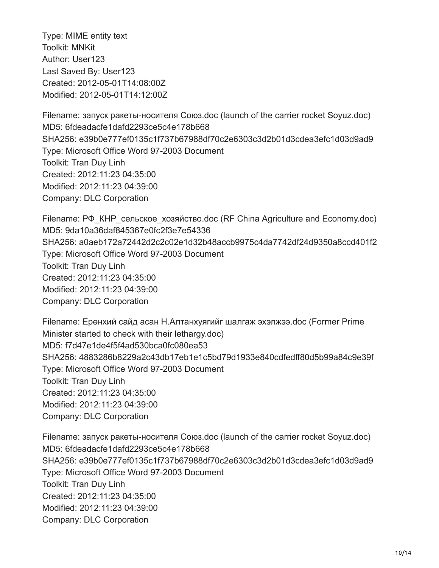Type: MIME entity text Toolkit: MNKit Author: User123 Last Saved By: User123 Created: 2012-05-01T14:08:00Z Modified: 2012-05-01T14:12:00Z

Filename: запуск ракеты-носителя Союз.doc (launch of the carrier rocket Soyuz.doc) MD5: 6fdeadacfe1dafd2293ce5c4e178b668 SHA256: e39b0e777ef0135c1f737b67988df70c2e6303c3d2b01d3cdea3efc1d03d9ad9 Type: Microsoft Office Word 97-2003 Document Toolkit: Tran Duy Linh Created: 2012:11:23 04:35:00 Modified: 2012:11:23 04:39:00 Company: DLC Corporation

Filename: РФ\_КНР\_сельское\_хозяйство.doc (RF China Agriculture and Economy.doc) MD5: 9da10a36daf845367e0fc2f3e7e54336 SHA256: a0aeb172a72442d2c2c02e1d32b48accb9975c4da7742df24d9350a8ccd401f2 Type: Microsoft Office Word 97-2003 Document Toolkit: Tran Duy Linh Created: 2012:11:23 04:35:00 Modified: 2012:11:23 04:39:00 Company: DLC Corporation

Filename: Ерөнхий сайд асан Н.Алтанхуягийг шалгаж эхэлжээ.doc (Former Prime Minister started to check with their lethargy.doc) MD5: f7d47e1de4f5f4ad530bca0fc080ea53 SHA256: 4883286b8229a2c43db17eb1e1c5bd79d1933e840cdfedff80d5b99a84c9e39f Type: Microsoft Office Word 97-2003 Document Toolkit: Tran Duy Linh Created: 2012:11:23 04:35:00 Modified: 2012:11:23 04:39:00 Company: DLC Corporation

Filename: запуск ракеты-носителя Союз.doc (launch of the carrier rocket Soyuz.doc) MD5: 6fdeadacfe1dafd2293ce5c4e178b668 SHA256: e39b0e777ef0135c1f737b67988df70c2e6303c3d2b01d3cdea3efc1d03d9ad9 Type: Microsoft Office Word 97-2003 Document Toolkit: Tran Duy Linh Created: 2012:11:23 04:35:00 Modified: 2012:11:23 04:39:00 Company: DLC Corporation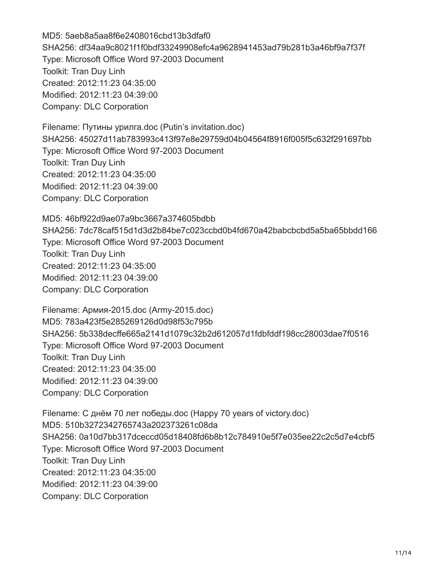MD5: 5aeb8a5aa8f6e2408016cbd13b3dfaf0 SHA256: df34aa9c8021f1f0bdf33249908efc4a9628941453ad79b281b3a46bf9a7f37f Type: Microsoft Office Word 97-2003 Document Toolkit: Tran Duy Linh Created: 2012:11:23 04:35:00 Modified: 2012:11:23 04:39:00 Company: DLC Corporation

Filename: Путины урилга.doc (Putin's invitation.doc) SHA256: 45027d11ab783993c413f97e8e29759d04b04564f8916f005f5c632f291697bb Type: Microsoft Office Word 97-2003 Document Toolkit: Tran Duy Linh Created: 2012:11:23 04:35:00 Modified: 2012:11:23 04:39:00 Company: DLC Corporation

MD5: 46bf922d9ae07a9bc3667a374605bdbb SHA256: 7dc78caf515d1d3d2b84be7c023ccbd0b4fd670a42babcbcbd5a5ba65bbdd166 Type: Microsoft Office Word 97-2003 Document Toolkit: Tran Duy Linh Created: 2012:11:23 04:35:00 Modified: 2012:11:23 04:39:00 Company: DLC Corporation

Filename: Армия-2015.doc (Army-2015.doc) MD5: 783a423f5e285269126d0d98f53c795b SHA256: 5b338decffe665a2141d1079c32b2d612057d1fdbfddf198cc28003dae7f0516 Type: Microsoft Office Word 97-2003 Document Toolkit: Tran Duy Linh Created: 2012:11:23 04:35:00 Modified: 2012:11:23 04:39:00 Company: DLC Corporation

Filename: С днём 70 лет победы.doc (Happy 70 years of victory.doc) MD5: 510b3272342765743a202373261c08da SHA256: 0a10d7bb317dceccd05d18408fd6b8b12c784910e5f7e035ee22c2c5d7e4cbf5 Type: Microsoft Office Word 97-2003 Document Toolkit: Tran Duy Linh Created: 2012:11:23 04:35:00 Modified: 2012:11:23 04:39:00 Company: DLC Corporation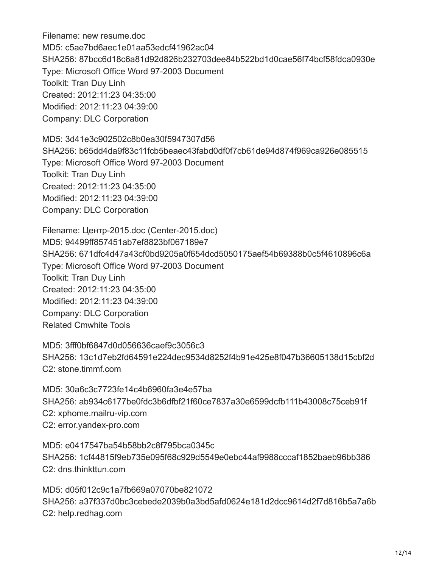Filename: new resume.doc MD5: c5ae7bd6aec1e01aa53edcf41962ac04 SHA256: 87bcc6d18c6a81d92d826b232703dee84b522bd1d0cae56f74bcf58fdca0930e Type: Microsoft Office Word 97-2003 Document Toolkit: Tran Duy Linh Created: 2012:11:23 04:35:00 Modified: 2012:11:23 04:39:00 Company: DLC Corporation

MD5: 3d41e3c902502c8b0ea30f5947307d56 SHA256: b65dd4da9f83c11fcb5beaec43fabd0df0f7cb61de94d874f969ca926e085515 Type: Microsoft Office Word 97-2003 Document Toolkit: Tran Duy Linh Created: 2012:11:23 04:35:00 Modified: 2012:11:23 04:39:00 Company: DLC Corporation

Filename: Центр-2015.doc (Center-2015.doc) MD5: 94499ff857451ab7ef8823bf067189e7 SHA256: 671dfc4d47a43cf0bd9205a0f654dcd5050175aef54b69388b0c5f4610896c6a Type: Microsoft Office Word 97-2003 Document Toolkit: Tran Duy Linh Created: 2012:11:23 04:35:00 Modified: 2012:11:23 04:39:00 Company: DLC Corporation Related Cmwhite Tools

MD5: 3fff0bf6847d0d056636caef9c3056c3 SHA256: 13c1d7eb2fd64591e224dec9534d8252f4b91e425e8f047b36605138d15cbf2d C2: stone.timmf.com

MD5: 30a6c3c7723fe14c4b6960fa3e4e57ba SHA256: ab934c6177be0fdc3b6dfbf21f60ce7837a30e6599dcfb111b43008c75ceb91f C2: xphome.mailru-vip.com C2: error.yandex-pro.com

MD5: e0417547ba54b58bb2c8f795bca0345c SHA256: 1cf44815f9eb735e095f68c929d5549e0ebc44af9988cccaf1852baeb96bb386 C2: dns.thinkttun.com

MD5: d05f012c9c1a7fb669a07070be821072 SHA256: a37f337d0bc3cebede2039b0a3bd5afd0624e181d2dcc9614d2f7d816b5a7a6b C2: help.redhag.com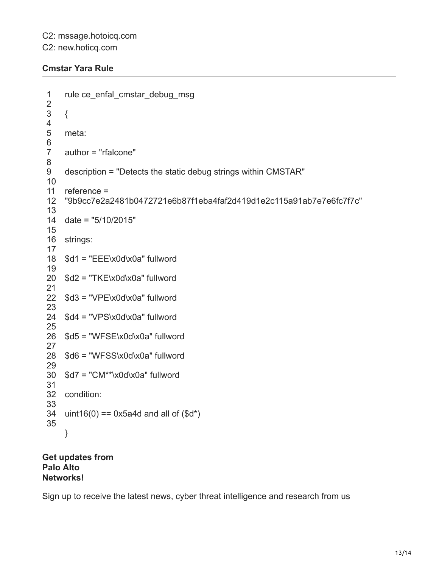#### **Cmstar Yara Rule**

```
1
2
3
4
5
6
7
8
9
10
11
12
13
14
date = "5/10/2015"
15
16
strings:
17
18
19
20
$d2 = "TKE\x0d\x0a" fullword
21
22
23
24
$d4 = "VPS\x0d\x0a" fullword
25
26
$d5 = "WFSE\x0d\x0a" fullword
27
28
29
30
$d7 = "CM**\x0d\x0a" fullword
31
32
condition:
33
34
35
    rule ce_enfal_cmstar_debug_msg
    {
    meta:
    author = "rfalcone"
    description = "Detects the static debug strings within CMSTAR"
    reference =
    "9b9cc7e2a2481b0472721e6b87f1eba4faf2d419d1e2c115a91ab7e7e6fc7f7c"
   $d1 = "EEE\x0d\x0a" fullword
   $d3 = "VPE\x0d\x0a" fullword
   $d6 = "WFSS\x0d\x0a" fullword
   uint16(0) == 0x5a4d and all of $d^*)
    }
```
#### **Get updates from Palo Alto Networks!**

Sign up to receive the latest news, cyber threat intelligence and research from us